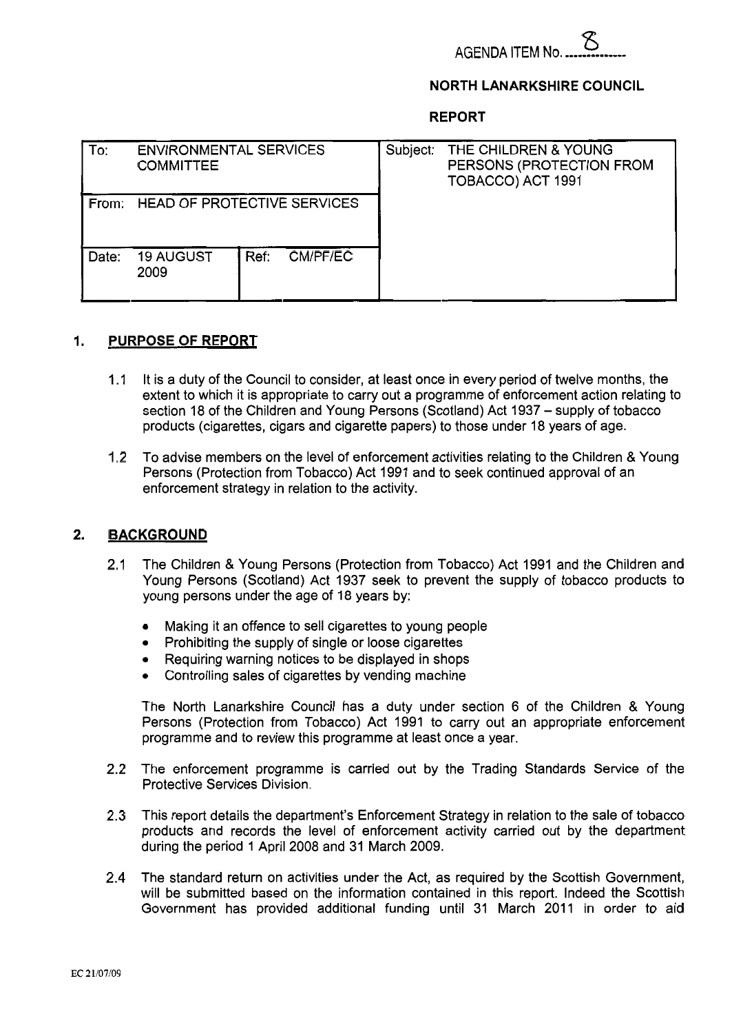

## **NORTH LANARKSHIRE COUNCIL**

**REPORT** 

| l To: | <b>ENVIRONMENTAL SERVICES</b><br><b>COMMITTEE</b> |      |          | Subject: | THE CHILDREN & YOUNG<br>PERSONS (PROTECTION FROM<br>TOBACCO) ACT 1991 |
|-------|---------------------------------------------------|------|----------|----------|-----------------------------------------------------------------------|
|       | From: HEAD OF PROTECTIVE SERVICES                 |      |          |          |                                                                       |
| Date: | <b>19 AUGUST</b><br>2009                          | Ref: | CM/PF/EC |          |                                                                       |

# **1. PURPOSE OF REPORT**

- 1.1 It is a duty of the Council to consider, at least once in every period of twelve months, the extent to which it is appropriate to carry out a programme of enforcement action relating to section 18 of the Children and Young Persons (Scotland) Act 1937 - supply of tobacco products (cigarettes, cigars and cigarette papers) to those under 18 years of age.
- 1.2 To advise members on the level of enforcement activities relating to the Children & Young Persons (Protection from Tobacco) Act 1991 and to seek continued approval of an enforcement strategy in relation to the activity.

## **2. BACKGROUND**

- 2.1 The Children & Young Persons (Protection from Tobacco) Act 1991 and the Children and Young Persons (Scotland) Act 1937 seek to prevent the supply of tobacco products to young persons under the age of 18 years by:
	- *0*  Making it an offence to sell cigarettes to young people
	- *0*  Prohibiting the supply of single or loose cigarettes
	- *0*  Requiring warning notices to be displayed in shops
	- *0*  Controlling sales of cigarettes by vending machine

The North Lanarkshire Council has a duty under section 6 of the Children & Young Persons (Protection from Tobacco) Act 1991 to carry out an appropriate enforcement programme and to review this programme at least once a year.

- 2.2 The enforcement programme is carried out by the Trading Standards Service of the Protective Services Division.
- 2.3 This report details the department's Enforcement Strategy in relation to the sale of tobacco products and records the level of enforcement activity carried out by the department during the period 1 April 2008 and 31 March 2009.
- 2.4 The standard return on activities under the Act, as required by the Scottish Government, will be submitted based on the information contained in this report. Indeed the Scottish Government has provided additional funding until 31 March 2011 in order to aid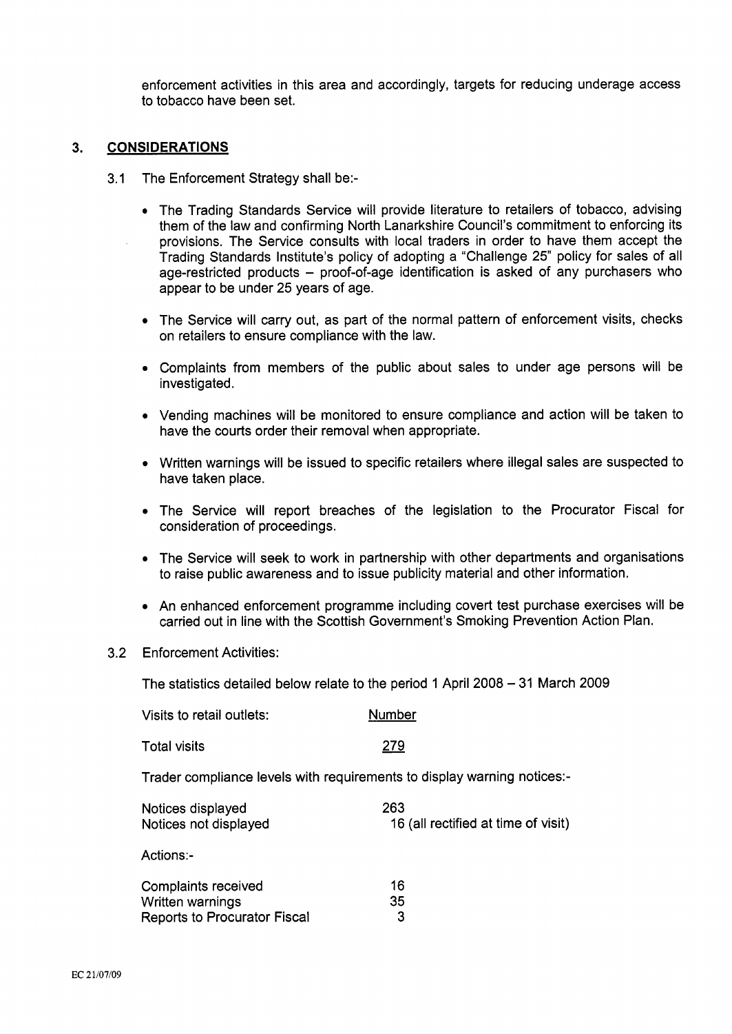enforcement activities in this area and accordingly, targets for reducing underage access to tobacco have been set.

#### 3. **CONSIDERATIONS**

- 3.1 The Enforcement Strategy shall be:-
	- The Trading Standards Service will provide literature to retailers of tobacco, advising them of the law and confirming North Lanarkshire Council's commitment to enforcing its provisions. The Service consults with local traders in order to have them accept the Trading Standards Institute's policy of adopting a 'Challenge 25" policy for sales of all age-restricted products - proof-of-age identification is asked of any purchasers who appear to be under 25 years of age.
	- The Service will carry out, as part of the normal pattern of enforcement visits, checks on retailers to ensure compliance with the law.
	- Complaints from members of the public about sales to under age persons will be investigated.
	- Vending machines will be monitored to ensure compliance and action will be taken to have the courts order their removal when appropriate.
	- Written warnings will be issued to specific retailers where illegal sales are suspected to have taken place.
	- The Service will report breaches of the legislation to the Procurator Fiscal for consideration of proceedings.
	- The Service will seek to work in partnership with other departments and organisations to raise public awareness and to issue publicity material and other information.
	- An enhanced enforcement programme including covert test purchase exercises will be carried out in line with the Scottish Government's Smoking Prevention Action Plan.
- 3.2 Enforcement Activities:

The statistics detailed below relate to the period 1 April 2008 - 31 March 2009

| The statistics detailed below relate to the period T April 2006 – 3 Fivial Gr  |                                            |  |  |  |
|--------------------------------------------------------------------------------|--------------------------------------------|--|--|--|
| Visits to retail outlets:                                                      | Number                                     |  |  |  |
| <b>Total visits</b>                                                            | 279                                        |  |  |  |
| Trader compliance levels with requirements to display warning notices:-        |                                            |  |  |  |
| Notices displayed<br>Notices not displayed                                     | 263<br>16 (all rectified at time of visit) |  |  |  |
| Actions:-                                                                      |                                            |  |  |  |
| Complaints received<br>Written warnings<br><b>Reports to Procurator Fiscal</b> | 16<br>35<br>3                              |  |  |  |
|                                                                                |                                            |  |  |  |